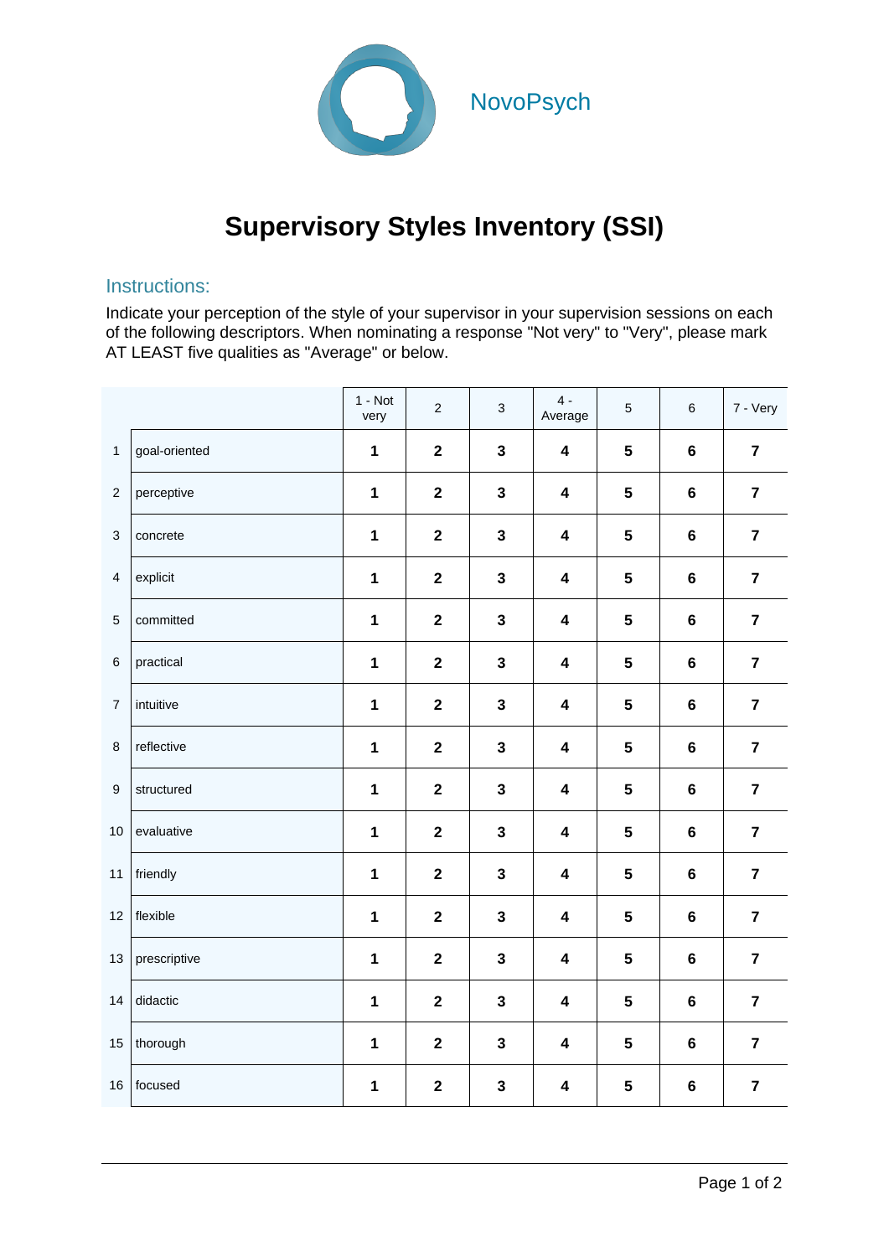

## **Supervisory Styles Inventory (SSI)**

## Instructions:

Indicate your perception of the style of your supervisor in your supervision sessions on each of the following descriptors. When nominating a response "Not very" to "Very", please mark AT LEAST five qualities as "Average" or below.

|                         |               | $1 - Not$<br>very   | $\sqrt{2}$              | $\ensuremath{\mathsf{3}}$ | $4 -$<br>Average        | 5              | $\,6\,$        | 7 - Very                |
|-------------------------|---------------|---------------------|-------------------------|---------------------------|-------------------------|----------------|----------------|-------------------------|
| $\mathbf{1}$            | goal-oriented | $\mathbf 1$         | $\boldsymbol{2}$        | $\mathbf{3}$              | $\overline{\mathbf{4}}$ | $5\phantom{a}$ | $6\phantom{a}$ | $\overline{7}$          |
| $\overline{2}$          | perceptive    | 1                   | $\mathbf{2}$            | $\mathbf{3}$              | $\overline{\mathbf{4}}$ | $5\phantom{a}$ | $\bf 6$        | $\overline{7}$          |
| 3                       | concrete      | 1                   | $\mathbf{2}$            | $\mathbf{3}$              | 4                       | $5\phantom{a}$ | $\bf 6$        | $\overline{7}$          |
| $\overline{\mathbf{4}}$ | explicit      | 1                   | $\overline{\mathbf{2}}$ | $\mathbf{3}$              | $\overline{\mathbf{4}}$ | $5\phantom{1}$ | $\bf 6$        | $\overline{7}$          |
| $\overline{5}$          | committed     | $\mathbf{1}$        | $\mathbf{2}$            | $\mathbf{3}$              | $\overline{\mathbf{4}}$ | $5\phantom{a}$ | $\bf 6$        | $\overline{7}$          |
| $\,6\,$                 | practical     | $\mathbf 1$         | $\mathbf{2}$            | $\mathbf{3}$              | $\overline{\mathbf{4}}$ | $5\phantom{a}$ | $\bf 6$        | $\overline{7}$          |
| $\overline{7}$          | intuitive     | $\mathbf{1}$        | $\mathbf{2}$            | $\mathbf{3}$              | $\overline{\mathbf{4}}$ | $5\phantom{a}$ | $\bf 6$        | $\overline{7}$          |
| 8                       | reflective    | $\mathbf{1}$        | $\mathbf{2}$            | $\mathbf{3}$              | $\overline{\mathbf{4}}$ | $5\phantom{a}$ | 6              | $\overline{\mathbf{7}}$ |
| $\boldsymbol{9}$        | structured    | 1                   | $\boldsymbol{2}$        | $\mathbf{3}$              | $\overline{\mathbf{4}}$ | $5\phantom{a}$ | $\bf 6$        | $\overline{7}$          |
| 10                      | evaluative    | $\mathbf 1$         | $\mathbf{2}$            | $\mathbf{3}$              | $\overline{\mathbf{4}}$ | $5\phantom{a}$ | $\bf 6$        | $\overline{7}$          |
| 11                      | friendly      | 1                   | $\overline{\mathbf{2}}$ | $\mathbf{3}$              | $\overline{\mathbf{4}}$ | $5\phantom{a}$ | $6\phantom{a}$ | $\overline{7}$          |
| 12                      | flexible      | 1                   | $\overline{\mathbf{2}}$ | $\mathbf{3}$              | $\overline{\mathbf{4}}$ | $5\phantom{a}$ | 6              | $\overline{7}$          |
| 13                      | prescriptive  | 1                   | $\overline{\mathbf{2}}$ | $\mathbf{3}$              | $\overline{\mathbf{4}}$ | $5\phantom{a}$ | $\bf 6$        | $\overline{7}$          |
| 14                      | didactic      | $\mathbf{1}$        | $\boldsymbol{2}$        | $\mathbf{3}$              | 4                       | $5\phantom{a}$ | $\bf 6$        | $\overline{7}$          |
| 15                      | thorough      | $\ddot{\mathbf{1}}$ | $\overline{\mathbf{2}}$ | $\mathbf{3}$              | $\overline{\mathbf{4}}$ | $5\phantom{a}$ | $6\phantom{1}$ | $\overline{7}$          |
| 16                      | focused       | $\mathbf 1$         | $\mathbf 2$             | $\mathbf{3}$              | $\overline{\mathbf{4}}$ | $\sqrt{5}$     | $\bf 6$        | $\overline{7}$          |